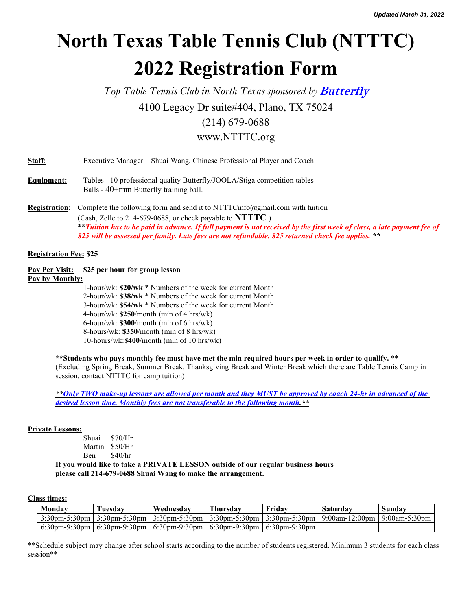# **North Texas Table Tennis Club (NTTTC) 2022 Registration Form**

*Top Table Tennis Club in North Texas sponsored by* **Butterfly**

4100 Legacy Dr suite#404, Plano, TX 75024

### (214) 679-0688

## www.NTTTC.org

| Staff:<br>Executive Manager – Shuai Wang, Chinese Professional Player and Coach |  |
|---------------------------------------------------------------------------------|--|
|---------------------------------------------------------------------------------|--|

- **Equipment:** Tables 10 professional quality Butterfly/JOOLA/Stiga competition tables Balls - 40+mm Butterfly training ball.
- **Registration:** Complete the following form and send it to [NTTTCinfo@gmail.com](mailto:NTTTCinfo@gmail.com) with tuition (Cash, Zelle to 214-679-0688, or check payable to **NTTTC** ) \*\* Tuition has to be paid in advance. If full payment is not received by the first week of class, a late payment fee of *\$25 will be assessed per family. Late fees are not refundable. \$25 returned check fee applies. \*\**

#### **Registration Fee: \$25**

**Pay Per Visit: \$25 per hour for group lesson Pay by Monthly:**

1-hour/wk: \$20/wk \* Numbers of the week for current Month 2-hour/wk: \$38/wk \* Numbers of the week for current Month 3-hour/wk: \$54/wk \* Numbers of the week for current Month  $4$ -hour/wk:  $$250/month (min of 4 hrs/wk)$ 6-hour/wk: **\$300**/month (min of6 hrs/wk) 8-hours/wk: **\$350**/month (min of8 hrs/wk) 10-hours/wk:**\$400**/month (min of 10 hrs/wk)

\*\* Students who pays monthly fee must have met the min required hours per week in order to qualify. \*\* (Excluding Spring Break, Summer Break, Thanksgiving Break and Winter Break which there are Table Tennis Camp in session, contact NTTTC for camp tuition)

\*\* Only TWO make-up lessons are allowed per month and they MUST be approved by coach 24-hr in advanced of the *desired lesson time. Monthly fees are not transferable to the following month.\*\**

#### **Private Lessons:**

| Shuai \$70/Hr  |         |
|----------------|---------|
| Martin \$50/Hr |         |
| <b>B</b> en    | \$40/hr |

**If you would like to take a PRIVATE LESSON outside of our regular business hours please call 214-679-0688 Shuai Wang to make the arrangement.**

#### **Class times:**